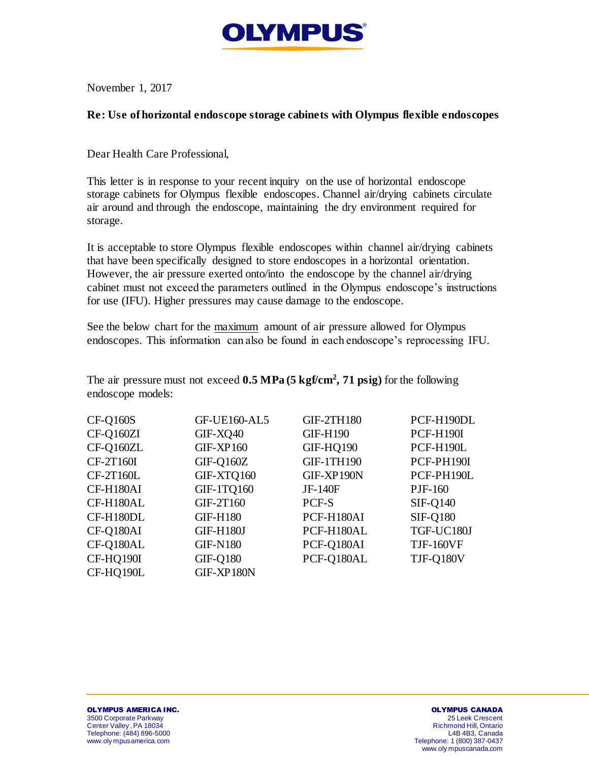

November 1, 2017

## **Re: Use of horizontal endoscope storage cabinets with Olympus flexible endoscopes**

Dear Health Care Professional,

This letter is in response to your recent inquiry on the use of horizontal endoscope storage cabinets for Olympus flexible endoscopes. Channel air/drying cabinets circulate air around and through the endoscope, maintaining the dry environment required for storage.

It is acceptable to store Olympus flexible endoscopes within channel air/drying cabinets that have been specifically designed to store endoscopes in a horizontal orientation. However, the air pressure exerted onto/into the endoscope by the channel air/drying cabinet must not exceed the parameters outlined in the Olympus endoscope's instructions for use (IFU). Higher pressures may cause damage to the endoscope.

See the below chart for the maximum amount of air pressure allowed for Olympus endoscopes. This information can also be found in each endoscope's reprocessing IFU.

The air pressure must not exceed **0.5 MPa (5 kgf/cm<sup>2</sup> , 71 psig)** for the following endoscope models:

| <b>CF-Q160S</b> | <b>GF-UE160-AL5</b> | <b>GIF-2TH180</b> | PCF-H190DL       |
|-----------------|---------------------|-------------------|------------------|
| CF-Q160ZI       | GIF-XQ40            | <b>GIF-H190</b>   | <b>PCF-H190I</b> |
| CF-Q160ZL       | $GIF-XP160$         | GIF-HQ190         | PCF-H190L        |
| CF-2T160I       | $GIF-Q160Z$         | <b>GIF-1TH190</b> | PCF-PH190I       |
| $CF-2T160L$     | GIF-XTQ160          | GIF-XP190N        | PCF-PH190L       |
| CF-H180AI       | <b>GIF-1TQ160</b>   | JF-140F           | PJF-160          |
| CF-H180AL       | GIF-2T160           | PCF-S             | <b>SIF-Q140</b>  |
| CF-H180DL       | <b>GIF-H180</b>     | PCF-H180AI        | <b>SIF-Q180</b>  |
| CF-Q180AI       | <b>GIF-H180J</b>    | PCF-H180AL        | TGF-UC180J       |
| CF-Q180AL       | <b>GIF-N180</b>     | PCF-Q180AI        | <b>TJF-160VF</b> |
| CF-HQ190I       | <b>GIF-Q180</b>     | PCF-Q180AL        | <b>TJF-Q180V</b> |
| CF-HQ190L       | GIF-XP180N          |                   |                  |